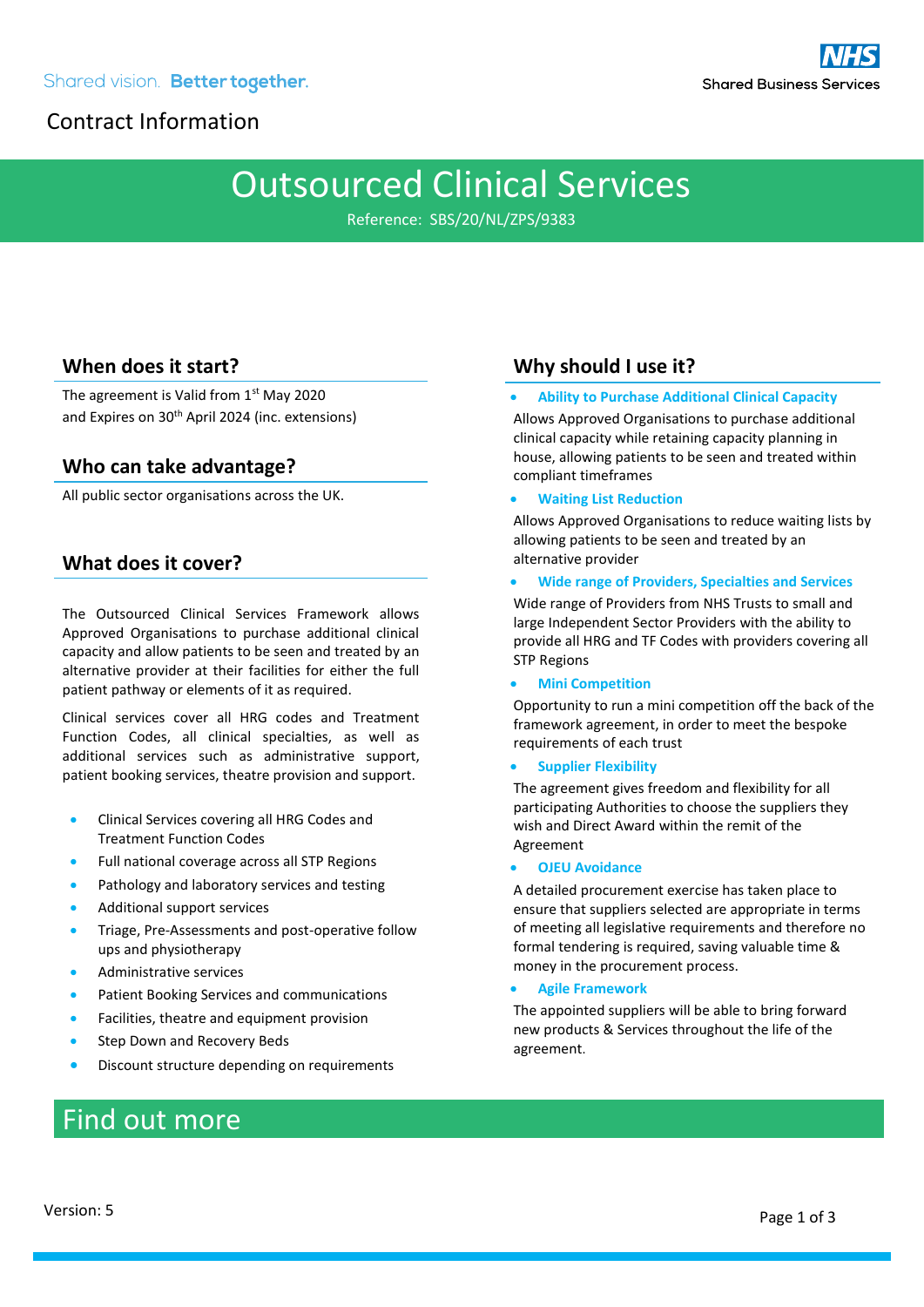# Contract Information

# Outsourced Clinical Services

Reference: SBS/20/NL/ZPS/9383

## **When does it start?**

The agreement is Valid from 1st May 2020 and Expires on 30<sup>th</sup> April 2024 (inc. extensions)

### **Who can take advantage?**

All public sector organisations across the UK.

### **What does it cover?**

The Outsourced Clinical Services Framework allows Approved Organisations to purchase additional clinical capacity and allow patients to be seen and treated by an alternative provider at their facilities for either the full patient pathway or elements of it as required.

Clinical services cover all HRG codes and Treatment Function Codes, all clinical specialties, as well as additional services such as administrative support, patient booking services, theatre provision and support.

- Clinical Services covering all HRG Codes and Treatment Function Codes
- Full national coverage across all STP Regions
- Pathology and laboratory services and testing
- Additional support services
- Triage, Pre-Assessments and post-operative follow ups and physiotherapy
- Administrative services
- Patient Booking Services and communications
- Facilities, theatre and equipment provision
- Step Down and Recovery Beds
- Discount structure depending on requirements

# Find out more

### **Why should I use it?**

• **Ability to Purchase Additional Clinical Capacity**

Allows Approved Organisations to purchase additional clinical capacity while retaining capacity planning in house, allowing patients to be seen and treated within compliant timeframes

#### • **Waiting List Reduction**

Allows Approved Organisations to reduce waiting lists by allowing patients to be seen and treated by an alternative provider

#### • **Wide range of Providers, Specialties and Services**

Wide range of Providers from NHS Trusts to small and large Independent Sector Providers with the ability to provide all HRG and TF Codes with providers covering all STP Regions

#### • **Mini Competition**

Opportunity to run a mini competition off the back of the framework agreement, in order to meet the bespoke requirements of each trust

#### • **Supplier Flexibility**

The agreement gives freedom and flexibility for all participating Authorities to choose the suppliers they wish and Direct Award within the remit of the Agreement

#### • **OJEU Avoidance**

A detailed procurement exercise has taken place to ensure that suppliers selected are appropriate in terms of meeting all legislative requirements and therefore no formal tendering is required, saving valuable time & money in the procurement process.

#### • **Agile Framework**

The appointed suppliers will be able to bring forward new products & Services throughout the life of the agreement.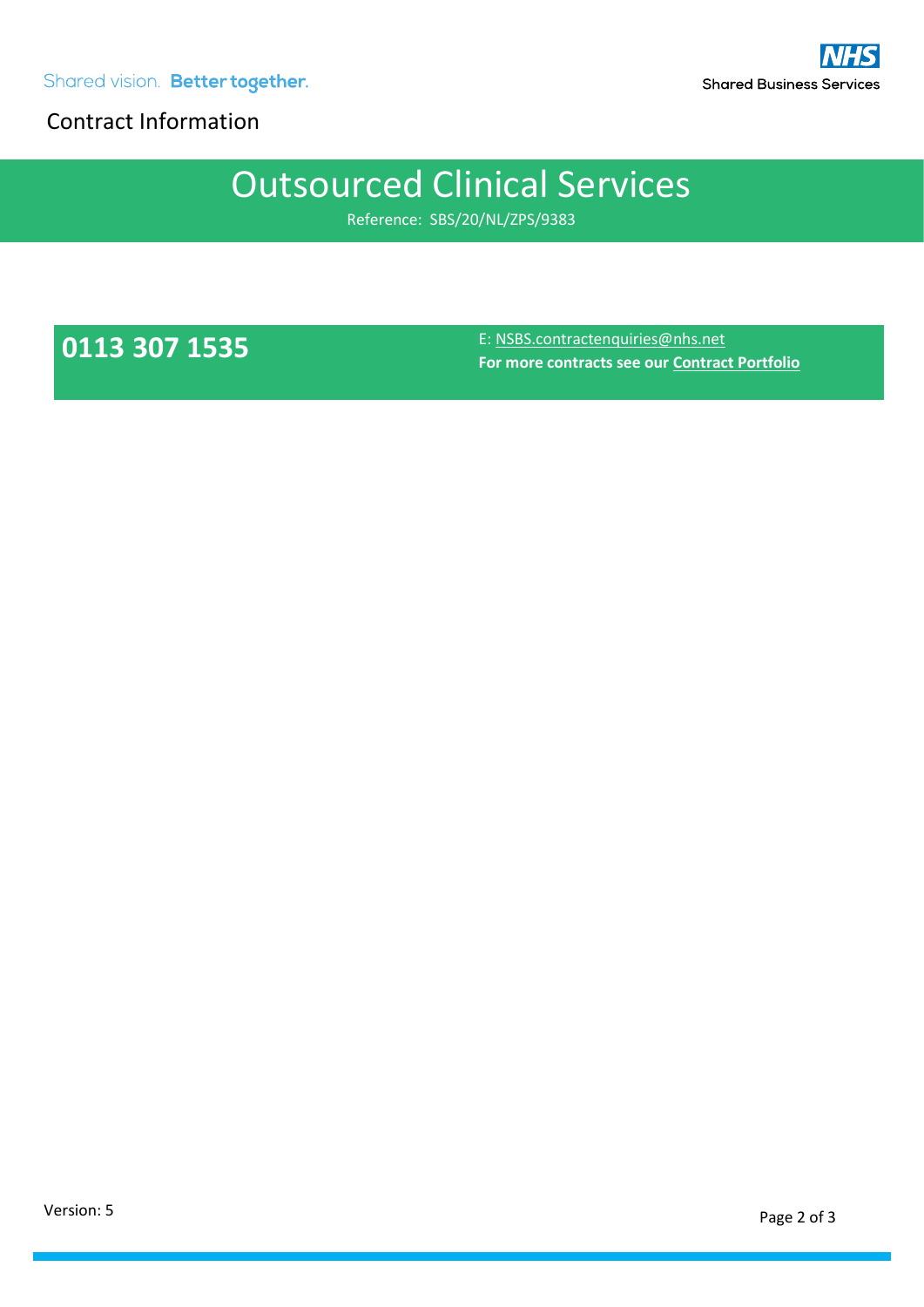Shared vision. Better together.

Contract Information

# Outsourced Clinical Services

Reference: SBS/20/NL/ZPS/9383

**0113 307 1535** E: [NSBS.contractenquiries@nhs.net](mailto:NSBS.contractenquiries@nhs.net) **For more contracts see ou[r Contract Portfolio](https://www.sbs.nhs.uk/procurement/immediate-contract-access)**